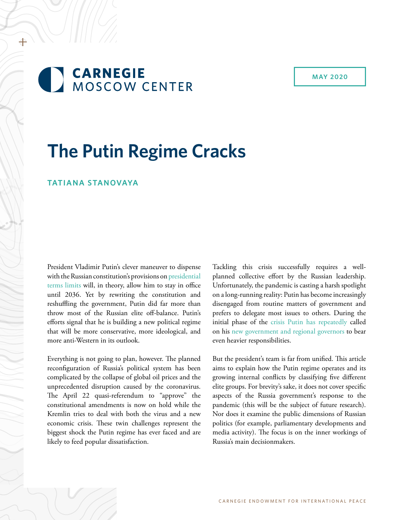# **CARNEGIE** MOSCOW CENTER

**MAY 2020**

# **The Putin Regime Cracks**

#### **TATIANA STANOVAYA**

+

President Vladimir Putin's clever maneuver to dispense with the Russian constitution's provisions on [presidential](https://carnegie.ru/commentary/80826)  [terms limits](https://carnegie.ru/commentary/80826) will, in theory, allow him to stay in office until 2036. Yet by rewriting the constitution and reshuffling the government, Putin did far more than throw most of the Russian elite off-balance. Putin's efforts signal that he is building a new political regime that will be more conservative, more ideological, and more anti-Western in its outlook.

Everything is not going to plan, however. The planned reconfiguration of Russia's political system has been complicated by the collapse of global oil prices and the unprecedented disruption caused by the coronavirus. The April 22 quasi-referendum to "approve" the constitutional amendments is now on hold while the Kremlin tries to deal with both the virus and a new economic crisis. These twin challenges represent the biggest shock the Putin regime has ever faced and are likely to feed popular dissatisfaction.

Tackling this crisis successfully requires a wellplanned collective effort by the Russian leadership. Unfortunately, the pandemic is casting a harsh spotlight on a long-running reality: Putin has become increasingly disengaged from routine matters of government and prefers to delegate most issues to others. During the initial phase of the [crisis Putin has repeatedly](http://kremlin.ru/events/president/news/63176) called on his [new government and regional governors](http://kremlin.ru/acts/news/63134) to bear even heavier responsibilities.

But the president's team is far from unified. This article aims to explain how the Putin regime operates and its growing internal conflicts by classifying five different elite groups. For brevity's sake, it does not cover specific aspects of the Russia government's response to the pandemic (this will be the subject of future research). Nor does it examine the public dimensions of Russian politics (for example, parliamentary developments and media activity). The focus is on the inner workings of Russia's main decisionmakers.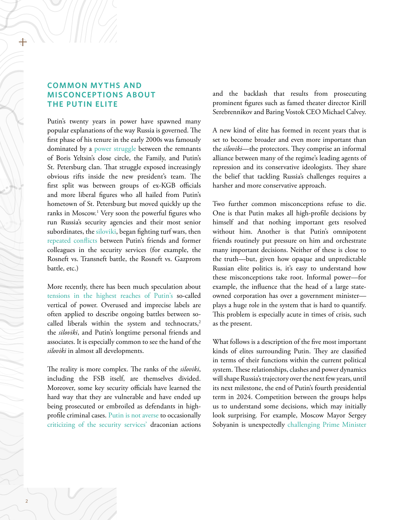# **COMMON MYTHS AND MISCONCEPTIONS ABOUT THE PUTIN ELITE**

Putin's twenty years in power have spawned many popular explanations of the way Russia is governed. The first phase of his tenure in the early 2000s was famously dominated by a [power struggle](https://www.foreignaffairs.com/articles/russia-fsu/2002-11-01/russia-renewed) between the remnants of Boris Yeltsin's close circle, the Family, and Putin's St. Petersburg clan. That struggle exposed increasingly obvious rifts inside the new president's team. The first split was between groups of ex-KGB officials and more liberal figures who all hailed from Putin's hometown of St. Petersburg but moved quickly up the ranks in Moscow.1 Very soon the powerful figures who run Russia's security agencies and their most senior subordinates, the [siloviki,](https://www.rferl.org/a/1079108.html) began fighting turf wars, then [repeated](https://www.ft.com/content/d06955f0-9a50-11e3-8232-00144feab7de) [conflicts](https://www.ft.com/content/3cccbf80-bbd1-3065-876e-a40c16a7a06e) between Putin's friends and former colleagues in the security services (for example, the Rosneft vs. Transneft battle, the Rosneft vs. Gazprom battle, etc.)

More recently, there has been much speculation about [tensions in the highest reaches of Putin's](https://www.nytimes.com/2019/07/13/world/europe/fsb-intelligence-committee-putin-russia-muzraev.html) so-called vertical of power. Overused and imprecise labels are often applied to describe ongoing battles between socalled liberals within the system and technocrats,<sup>2</sup> the *siloviki*, and Putin's longtime personal friends and associates. It is especially common to see the hand of the *siloviki* in almost all developments.

The reality is more complex. The ranks of the *siloviki*, including the FSB itself, are themselves divided. Moreover, some key security officials have learned the hard way that they are vulnerable and have ended up being prosecuted or embroiled as defendants in highprofile criminal cases. [Putin is not averse](https://www.gazeta.ru/culture/2017/09/05/a_10874960.shtml) to occasionally [criticizing of the security services'](https://www.rbc.ru/politics/07/06/2019/5cfa70b19a7947d8fa17ba02) draconian actions

and the backlash that results from prosecuting prominent figures such as famed theater director Kirill Serebrennikov and Baring Vostok CEO Michael Calvey.

A new kind of elite has formed in recent years that is set to become broader and even more important than the *siloviki*—the protectors. They comprise an informal alliance between many of the regime's leading agents of repression and its conservative ideologists. They share the belief that tackling Russia's challenges requires a harsher and more conservative approach.

Two further common misconceptions refuse to die. One is that Putin makes all high-profile decisions by himself and that nothing important gets resolved without him. Another is that Putin's omnipotent friends routinely put pressure on him and orchestrate many important decisions. Neither of these is close to the truth—but, given how opaque and unpredictable Russian elite politics is, it's easy to understand how these misconceptions take root. Informal power—for example, the influence that the head of a large stateowned corporation has over a government minister plays a huge role in the system that is hard to quantify. This problem is especially acute in times of crisis, such as the present.

What follows is a description of the five most important kinds of elites surrounding Putin. They are classified in terms of their functions within the current political system. These relationships, clashes and power dynamics will shape Russia's trajectory over the next few years, until its next milestone, the end of Putin's fourth presidential term in 2024. Competition between the groups helps us to understand some decisions, which may initially look surprising. For example, Moscow Mayor Sergey Sobyanin is unexpectedly [challenging Prime Minister](https://www.ft.com/content/05fbbf49-913d-48ec-acdc-1f47c774317a)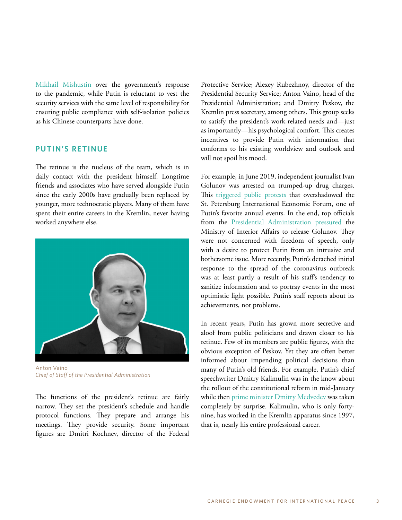[Mikhail Mishustin](https://www.ft.com/content/05fbbf49-913d-48ec-acdc-1f47c774317a) over the government's response to the pandemic, while Putin is reluctant to vest the security services with the same level of responsibility for ensuring public compliance with self-isolation policies as his Chinese counterparts have done.

#### **PUTIN'S RETINUE**

The retinue is the nucleus of the team, which is in daily contact with the president himself. Longtime friends and associates who have served alongside Putin since the early 2000s have gradually been replaced by younger, more technocratic players. Many of them have spent their entire careers in the Kremlin, never having worked anywhere else.



Anton Vaino *Chief of Staff of the Presidential Administration*

The functions of the president's retinue are fairly narrow. They set the president's schedule and handle protocol functions. They prepare and arrange his meetings. They provide security. Some important figures are Dmitri Kochnev, director of the Federal Protective Service; Alexey Rubezhnoy, director of the Presidential Security Service; Anton Vaino, head of the Presidential Administration; and Dmitry Peskov, the Kremlin press secretary, among others. This group seeks to satisfy the president's work-related needs and—just as importantly—his psychological comfort. This creates incentives to provide Putin with information that conforms to his existing worldview and outlook and will not spoil his mood.

For example, in June 2019, independent journalist Ivan Golunov was arrested on trumped-up drug charges. This [triggered public protests](https://www.bbc.com/russian/features-48613544) that overshadowed the St. Petersburg International Economic Forum, one of Putin's favorite annual events. In the end, top officials from the [Presidential Administration pressured](https://www.proekt.media/article/kreml-za-golunova/) the Ministry of Interior Affairs to release Golunov. They were not concerned with freedom of speech, only with a desire to protect Putin from an intrusive and bothersome issue. More recently, Putin's detached initial response to the spread of the coronavirus outbreak was at least partly a result of his staff's tendency to sanitize information and to portray events in the most optimistic light possible. Putin's staff reports about its achievements, not problems.

In recent years, Putin has grown more secretive and aloof from public politicians and drawn closer to his retinue. Few of its members are public figures, with the obvious exception of Peskov. Yet they are often better informed about impending political decisions than many of Putin's old friends. For example, Putin's chief speechwriter Dmitry Kalimulin was in the know about the rollout of the constitutional reform in mid-January while then [prime minister Dmitry Medvedev](https://www.bloomberg.com/news/articles/2020-01-17/putin-the-puppet-master-shows-he-still-has-the-power-to-shock?sref=QmOxnLFz) was taken completely by surprise. Kalimulin, who is only fortynine, has worked in the Kremlin apparatus since 1997, that is, nearly his entire professional career.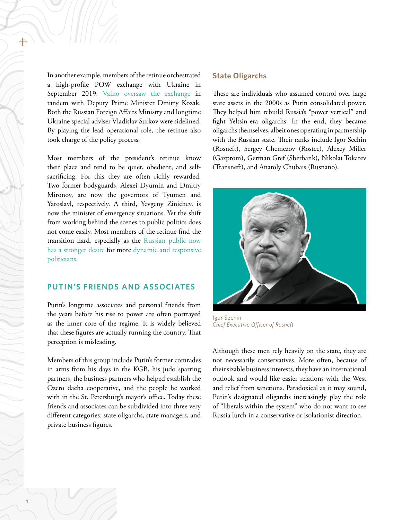In another example, members of the retinue orchestrated a high-profile POW exchange with Ukraine in September 2019. [Vaino oversaw the exchange](https://www.interfax.ru/world/675887) in tandem with Deputy Prime Minister Dmitry Kozak. Both the Russian Foreign Affairs Ministry and longtime Ukraine special adviser Vladislav Surkov were sidelined. By playing the lead operational role, the retinue also took charge of the policy process.

Most members of the president's retinue know their place and tend to be quiet, obedient, and selfsacrificing. For this they are often richly rewarded. Two former bodyguards, Alexei Dyumin and Dmitry Mironov, are now the governors of Tyumen and Yaroslavl, respectively. A third, Yevgeny Zinichev, is now the minister of emergency situations. Yet the shift from working behind the scenes to public politics does not come easily. Most members of the retinue find the transition hard, especially as the [Russian public now](https://carnegie.ru/2019/11/06/ru-pub-80273)  [has a stronger desire](https://carnegie.ru/2019/11/06/ru-pub-80273) for more [dynamic and responsive](https://carnegie.ru/2020/01/30/russians-growing-appetite-for-change-pub-80926)  [politicians](https://carnegie.ru/2020/01/30/russians-growing-appetite-for-change-pub-80926).

# **PUTIN'S FRIENDS AND ASSOCIATES**

Putin's longtime associates and personal friends from the years before his rise to power are often portrayed as the inner core of the regime. It is widely believed that these figures are actually running the country. That perception is misleading.

Members of this group include Putin's former comrades in arms from his days in the KGB, his judo sparring partners, the business partners who helped establish the Ozero dacha cooperative, and the people he worked with in the St. Petersburg's mayor's office. Today these friends and associates can be subdivided into three very different categories: state oligarchs, state managers, and private business figures.

#### **State Oligarchs**

These are individuals who assumed control over large state assets in the 2000s as Putin consolidated power. They helped him rebuild Russia's "power vertical" and fight Yeltsin-era oligarchs. In the end, they became oligarchs themselves, albeit ones operating in partnership with the Russian state. Their ranks include Igor Sechin (Rosneft), Sergey Chemezov (Rostec), Alexey Miller (Gazprom), German Gref (Sberbank), Nikolai Tokarev (Transneft), and Anatoly Chubais (Rusnano).



Igor Sechin *Chief Executive Officer of Rosneft*

Although these men rely heavily on the state, they are not necessarily conservatives. More often, because of their sizable business interests, they have an international outlook and would like easier relations with the West and relief from sanctions. Paradoxical as it may sound, Putin's designated oligarchs increasingly play the role of "liberals within the system" who do not want to see Russia lurch in a conservative or isolationist direction.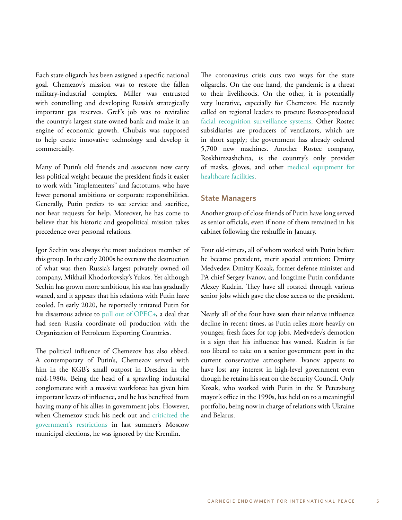Each state oligarch has been assigned a specific national goal. Chemezov's mission was to restore the fallen military-industrial complex. Miller was entrusted with controlling and developing Russia's strategically important gas reserves. Gref's job was to revitalize the country's largest state-owned bank and make it an engine of economic growth. Chubais was supposed to help create innovative technology and develop it commercially.

Many of Putin's old friends and associates now carry less political weight because the president finds it easier to work with "implementers" and factotums, who have fewer personal ambitions or corporate responsibilities. Generally, Putin prefers to see service and sacrifice, not hear requests for help. Moreover, he has come to believe that his historic and geopolitical mission takes precedence over personal relations.

Igor Sechin was always the most audacious member of this group. In the early 2000s he oversaw the destruction of what was then Russia's largest privately owned oil company, Mikhail Khodorkovsky's Yukos. Yet although Sechin has grown more ambitious, his star has gradually waned, and it appears that his relations with Putin have cooled. In early 2020, he reportedly irritated Putin for his disastrous advice to [pull out of OPEC+](https://www.rferl.org/a/russia-sechin-rosneft-oil-opec-saudi-arabia/30500656.html), a deal that had seen Russia coordinate oil production with the Organization of Petroleum Exporting Countries.

The political influence of Chemezov has also ebbed. A contemporary of Putin's, Chemezov served with him in the KGB's small outpost in Dresden in the mid-1980s. Being the head of a sprawling industrial conglomerate with a massive workforce has given him important levers of influence, and he has benefited from having many of his allies in government jobs. However, when Chemezov stuck his neck out and [criticized the](https://carnegie.ru/commentary/79714)  [government's restrictions](https://carnegie.ru/commentary/79714) in last summer's Moscow municipal elections, he was ignored by the Kremlin.

The coronavirus crisis cuts two ways for the state oligarchs. On the one hand, the pandemic is a threat to their livelihoods. On the other, it is potentially very lucrative, especially for Chemezov. He recently called on regional leaders to procure Rostec-produced [facial recognition surveillance systems](https://carnegie.ru/commentary/79714). Other Rostec subsidiaries are producers of ventilators, which are in short supply; the government has already ordered 5,700 new machines. Another Rostec company, Roskhimzashchita, is the country's only provider of masks, gloves, and other [medical equipment for](https://tass.ru/ekonomika/8170895)  [healthcare facilities.](https://tass.ru/ekonomika/8170895)

#### **State Managers**

Another group of close friends of Putin have long served as senior officials, even if none of them remained in his cabinet following the reshuffle in January.

Four old-timers, all of whom worked with Putin before he became president, merit special attention: Dmitry Medvedev, Dmitry Kozak, former defense minister and PA chief Sergey Ivanov, and longtime Putin confidante Alexey Kudrin. They have all rotated through various senior jobs which gave the close access to the president.

Nearly all of the four have seen their relative influence decline in recent times, as Putin relies more heavily on younger, fresh faces for top jobs. Medvedev's demotion is a sign that his influence has waned. Kudrin is far too liberal to take on a senior government post in the current conservative atmosphere. Ivanov appears to have lost any interest in high-level government even though he retains his seat on the Security Council. Only Kozak, who worked with Putin in the St Petersburg mayor's office in the 1990s, has held on to a meaningful portfolio, being now in charge of relations with Ukraine and Belarus.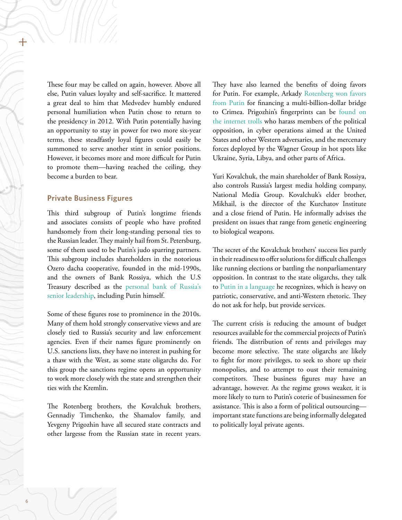These four may be called on again, however. Above all else, Putin values loyalty and self-sacrifice. It mattered a great deal to him that Medvedev humbly endured personal humiliation when Putin chose to return to the presidency in 2012. With Putin potentially having an opportunity to stay in power for two more six-year terms, these steadfastly loyal figures could easily be summoned to serve another stint in senior positions. However, it becomes more and more difficult for Putin to promote them—having reached the ceiling, they become a burden to bear.

#### **Private Business Figures**

This third subgroup of Putin's longtime friends and associates consists of people who have profited handsomely from their long-standing personal ties to the Russian leader. They mainly hail from St. Petersburg, some of them used to be Putin's judo sparring partners. This subgroup includes shareholders in the notorious Ozero dacha cooperative, founded in the mid-1990s, and the owners of Bank Rossiya, which the U.S Treasury described as the [personal bank of Russia's](https://www.treasury.gov/press-center/press-releases/Pages/jl23331.aspx)  [senior leadership,](https://www.treasury.gov/press-center/press-releases/Pages/jl23331.aspx) including Putin himself.

Some of these figures rose to prominence in the 2010s. Many of them hold strongly conservative views and are closely tied to Russia's security and law enforcement agencies. Even if their names figure prominently on U.S. sanctions lists, they have no interest in pushing for a thaw with the West, as some state oligarchs do. For this group the sanctions regime opens an opportunity to work more closely with the state and strengthen their ties with the Kremlin.

The Rotenberg brothers, the Kovalchuk brothers, Gennadiy Timchenko, the Shamalov family, and Yevgeny Prigozhin have all secured state contracts and other largesse from the Russian state in recent years.

They have also learned the benefits of doing favors for Putin. For example, Arkady [Rotenberg won favors](https://www.rferl.org/a/putin-gives-hero-of-labor-award-to-close-associate-for-crimean-bridge/30492367.html)  [from Putin](https://www.rferl.org/a/putin-gives-hero-of-labor-award-to-close-associate-for-crimean-bridge/30492367.html) for financing a multi-billion-dollar bridge to Crimea. Prigozhin's fingerprints can be [found on](https://carnegieendowment.org/2019/07/08/putin-s-not-so-secret-mercenaries-patronage-geopolitics-and-wagner-group-pub-79442) [the internet trolls](https://carnegieendowment.org/2019/07/08/putin-s-not-so-secret-mercenaries-patronage-geopolitics-and-wagner-group-pub-79442) who harass members of the political opposition, in cyber operations aimed at the United States and other Western adversaries, and the mercenary forces deployed by the Wagner Group in hot spots like Ukraine, Syria, Libya, and other parts of Africa.

Yuri Kovalchuk, the main shareholder of Bank Rossiya, also controls Russia's largest media holding company, National Media Group. Kovalchuk's elder brother, Mikhail, is the director of the Kurchatov Institute and a close friend of Putin. He informally advises the president on issues that range from genetic engineering to biological weapons.

The secret of the Kovalchuk brothers' success lies partly in their readiness to offer solutions for difficult challenges like running elections or battling the nonparliamentary opposition. In contrast to the state oligarchs, they talk to [Putin in a language](https://newizv.ru/article/general/10-04-2020/mihail-kovalchuk-rossiya-predlagaet-miru-alternativnyy-put-razvitiya) he recognizes, which is heavy on patriotic, conservative, and anti-Western rhetoric. They do not ask for help, but provide services.

The current crisis is reducing the amount of budget resources available for the commercial projects of Putin's friends. The distribution of rents and privileges may become more selective. The state oligarchs are likely to fight for more privileges, to seek to shore up their monopolies, and to attempt to oust their remaining competitors. These business figures may have an advantage, however. As the regime grows weaker, it is more likely to turn to Putin's coterie of businessmen for assistance. This is also a form of political outsourcing important state functions are being informally delegated to politically loyal private agents.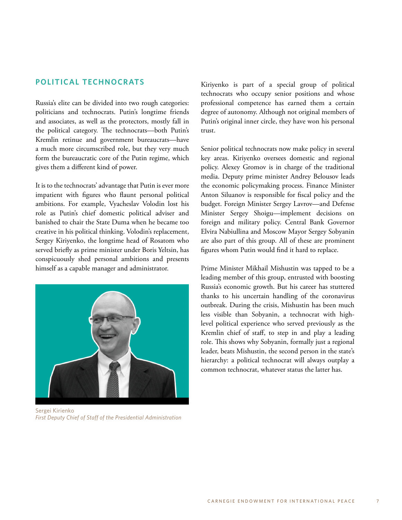## **POLITICAL TECHNOCRATS**

Russia's elite can be divided into two rough categories: politicians and technocrats. Putin's longtime friends and associates, as well as the protectors, mostly fall in the political category. The technocrats—both Putin's Kremlin retinue and government bureaucrats—have a much more circumscribed role, but they very much form the bureaucratic core of the Putin regime, which gives them a different kind of power.

It is to the technocrats' advantage that Putin is ever more impatient with figures who flaunt personal political ambitions. For example, Vyacheslav Volodin lost his role as Putin's chief domestic political adviser and banished to chair the State Duma when he became too creative in his political thinking. Volodin's replacement, Sergey Kiriyenko, the longtime head of Rosatom who served briefly as prime minister under Boris Yeltsin, has conspicuously shed personal ambitions and presents himself as a capable manager and administrator.



Sergei Kirienko *First Deputy Chief of Staff of the Presidential Administration*

Kiriyenko is part of a special group of political technocrats who occupy senior positions and whose professional competence has earned them a certain degree of autonomy. Although not original members of Putin's original inner circle, they have won his personal trust.

Senior political technocrats now make policy in several key areas. Kiriyenko oversees domestic and regional policy. Alexey Gromov is in charge of the traditional media. Deputy prime minister Andrey Belousov leads the economic policymaking process. Finance Minister Anton Siluanov is responsible for fiscal policy and the budget. Foreign Minister Sergey Lavrov—and Defense Minister Sergey Shoigu—implement decisions on foreign and military policy. Central Bank Governor Elvira Nabiullina and Moscow Mayor Sergey Sobyanin are also part of this group. All of these are prominent figures whom Putin would find it hard to replace.

Prime Minister Mikhail Mishustin was tapped to be a leading member of this group, entrusted with boosting Russia's economic growth. But his career has stuttered thanks to his uncertain handling of the coronavirus outbreak. During the crisis, Mishustin has been much less visible than Sobyanin, a technocrat with highlevel political experience who served previously as the Kremlin chief of staff, to step in and play a leading role. This shows why Sobyanin, formally just a regional leader, beats Mishustin, the second person in the state's hierarchy: a political technocrat will always outplay a common technocrat, whatever status the latter has.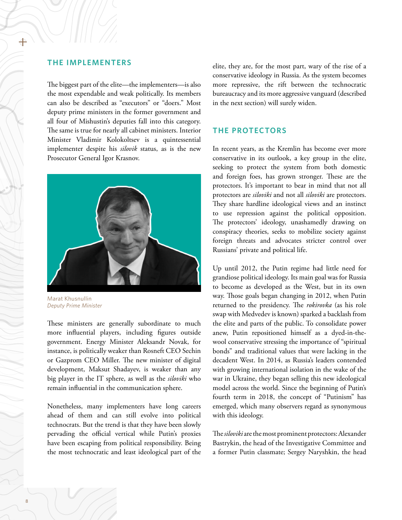#### **THE IMPLEMENTERS**

The biggest part of the elite—the implementers—is also the most expendable and weak politically. Its members can also be described as "executors" or "doers." Most deputy prime ministers in the former government and all four of Mishustin's deputies fall into this category. The same is true for nearly all cabinet ministers. Interior Minister Vladimir Kolokoltsev is a quintessential implementer despite his *silovik* status, as is the new Prosecutor General Igor Krasnov.



Marat Khusnullin *Deputy Prime Minister*

These ministers are generally subordinate to much more influential players, including figures outside government. Energy Minister Aleksandr Novak, for instance, is politically weaker than Rosneft CEO Sechin or Gazprom CEO Miller. The new minister of digital development, Maksut Shadayev, is weaker than any big player in the IT sphere, as well as the *siloviki* who remain influential in the communication sphere.

Nonetheless, many implementers have long careers ahead of them and can still evolve into political technocrats. But the trend is that they have been slowly pervading the official vertical while Putin's proxies have been escaping from political responsibility. Being the most technocratic and least ideological part of the

elite, they are, for the most part, wary of the rise of a conservative ideology in Russia. As the system becomes more repressive, the rift between the technocratic bureaucracy and its more aggressive vanguard (described in the next section) will surely widen.

#### **THE PROTECTORS**

In recent years, as the Kremlin has become ever more conservative in its outlook, a key group in the elite, seeking to protect the system from both domestic and foreign foes, has grown stronger. These are the protectors. It's important to bear in mind that not all protectors are *siloviki* and not all *siloviki* are protectors. They share hardline ideological views and an instinct to use repression against the political opposition. The protectors' ideology, unashamedly drawing on conspiracy theories, seeks to mobilize society against foreign threats and advocates stricter control over Russians' private and political life.

Up until 2012, the Putin regime had little need for grandiose political ideology. Its main goal was for Russia to become as developed as the West, but in its own way. Those goals began changing in 2012, when Putin returned to the presidency. The *rokirovka* (as his role swap with Medvedev is known) sparked a backlash from the elite and parts of the public. To consolidate power anew, Putin repositioned himself as a dyed-in-thewool conservative stressing the importance of "spiritual bonds" and traditional values that were lacking in the decadent West. In 2014, as Russia's leaders contended with growing international isolation in the wake of the war in Ukraine, they began selling this new ideological model across the world. Since the beginning of Putin's fourth term in 2018, the concept of "Putinism" has emerged, which many observers regard as synonymous with this ideology.

The *siloviki* are the most prominent protectors: Alexander Bastrykin, the head of the Investigative Committee and a former Putin classmate; Sergey Naryshkin, the head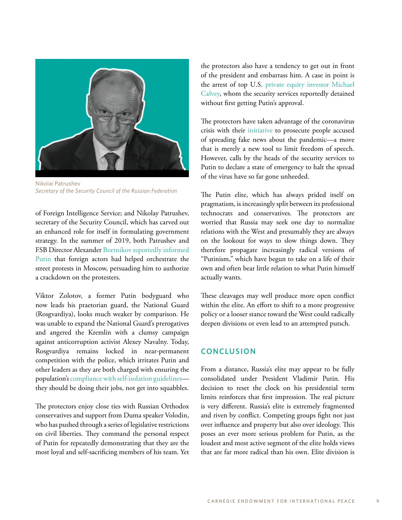

Nikolai Patrushev *Secretary of the Security Council of the Russian Federation* 

of Foreign Intelligence Service; and Nikolay Patrushev, secretary of the Security Council, which has carved out an enhanced role for itself in formulating government strategy. In the summer of 2019, both Patrushev and FSB Director Alexander [Bortnikov reportedly informed](https://carnegie.ru/2020/02/27/ru-pub-81158)  [Putin](https://carnegie.ru/2020/02/27/ru-pub-81158) that foreign actors had helped orchestrate the street protests in Moscow, persuading him to authorize a crackdown on the protesters.

Viktor Zolotov, a former Putin bodyguard who now leads his praetorian guard, the National Guard (Rosgvardiya), looks much weaker by comparison. He was unable to expand the National Guard's prerogatives and angered the Kremlin with a clumsy campaign against anticorruption activist Alexey Navalny. Today, Rosgvardiya remains locked in near-permanent competition with the police, which irritates Putin and other leaders as they are both charged with ensuring the population's [compliance with self-isolation guidelines](https://lenta.ru/news/2020/04/10/ups/) they should be doing their jobs, not get into squabbles.

The protectors enjoy close ties with Russian Orthodox conservatives and support from Duma speaker Volodin, who has pushed through a series of legislative restrictions on civil liberties. They command the personal respect of Putin for repeatedly demonstrating that they are the most loyal and self-sacrificing members of his team. Yet the protectors also have a tendency to get out in front of the president and embarrass him. A case in point is the arrest of top U.S. [private equity investor Michael](https://www.rbc.ru/politics/07/06/2019/5cfa70b19a7947d8fa17ba02) [Calvey,](https://www.rbc.ru/politics/07/06/2019/5cfa70b19a7947d8fa17ba02) whom the security services reportedly detained without first getting Putin's approval.

The protectors have taken advantage of the coronavirus crisis with their [initiative](https://www.themoscowtimes.com/2020/03/31/russians-face-up-to-5-years-in-jail-for-spreading-false-coronavirus-news-a69808) to prosecute people accused of spreading fake news about the pandemic—a move that is merely a new tool to limit freedom of speech. However, calls by the heads of the security services to Putin to declare a state of emergency to halt the spread of the virus have so far gone unheeded.

The Putin elite, which has always prided itself on pragmatism, is increasingly split between its professional technocrats and conservatives. The protectors are worried that Russia may seek one day to normalize relations with the West and presumably they are always on the lookout for ways to slow things down. They therefore propagate increasingly radical versions of "Putinism," which have begun to take on a life of their own and often bear little relation to what Putin himself actually wants.

These cleavages may well produce more open conflict within the elite. An effort to shift to a more progressive policy or a looser stance toward the West could radically deepen divisions or even lead to an attempted putsch.

## **CONCLUSION**

From a distance, Russia's elite may appear to be fully consolidated under President Vladimir Putin. His decision to reset the clock on his presidential term limits reinforces that first impression. The real picture is very different. Russia's elite is extremely fragmented and riven by conflict. Competing groups fight not just over influence and property but also over ideology. This poses an ever more serious problem for Putin, as the loudest and most active segment of the elite holds views that are far more radical than his own. Elite division is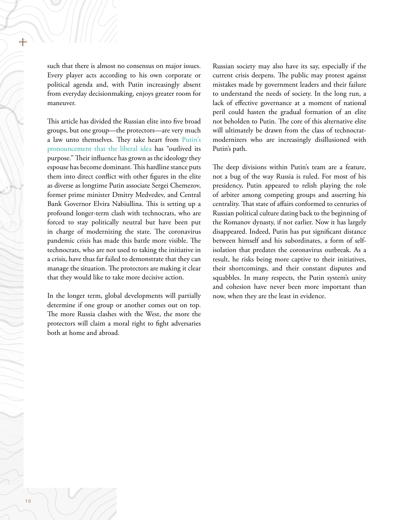such that there is almost no consensus on major issues. Every player acts according to his own corporate or political agenda and, with Putin increasingly absent from everyday decisionmaking, enjoys greater room for maneuver.

This article has divided the Russian elite into five broad groups, but one group—the protectors—are very much a law unto themselves. They take heart from [Putin's](https://www.ft.com/content/2880c762-98c2-11e9-8cfb-30c211dcd229) [pronouncement that the liberal idea](https://www.ft.com/content/2880c762-98c2-11e9-8cfb-30c211dcd229) has "outlived its purpose." Their influence has grown as the ideology they espouse has become dominant. This hardline stance puts them into direct conflict with other figures in the elite as diverse as longtime Putin associate Sergei Chemezov, former prime minister Dmitry Medvedev, and Central Bank Governor Elvira Nabiullina. This is setting up a profound longer-term clash with technocrats, who are forced to stay politically neutral but have been put in charge of modernizing the state. The coronavirus pandemic crisis has made this battle more visible. The technocrats, who are not used to taking the initiative in a crisis, have thus far failed to demonstrate that they can manage the situation. The protectors are making it clear that they would like to take more decisive action.

In the longer term, global developments will partially determine if one group or another comes out on top. The more Russia clashes with the West, the more the protectors will claim a moral right to fight adversaries both at home and abroad.

Russian society may also have its say, especially if the current crisis deepens. The public may protest against mistakes made by government leaders and their failure to understand the needs of society. In the long run, a lack of effective governance at a moment of national peril could hasten the gradual formation of an elite not beholden to Putin. The core of this alternative elite will ultimately be drawn from the class of technocratmodernizers who are increasingly disillusioned with Putin's path.

The deep divisions within Putin's team are a feature, not a bug of the way Russia is ruled. For most of his presidency, Putin appeared to relish playing the role of arbiter among competing groups and asserting his centrality. That state of affairs conformed to centuries of Russian political culture dating back to the beginning of the Romanov dynasty, if not earlier. Now it has largely disappeared. Indeed, Putin has put significant distance between himself and his subordinates, a form of selfisolation that predates the coronavirus outbreak. As a result, he risks being more captive to their initiatives, their shortcomings, and their constant disputes and squabbles. In many respects, the Putin system's unity and cohesion have never been more important than now, when they are the least in evidence.